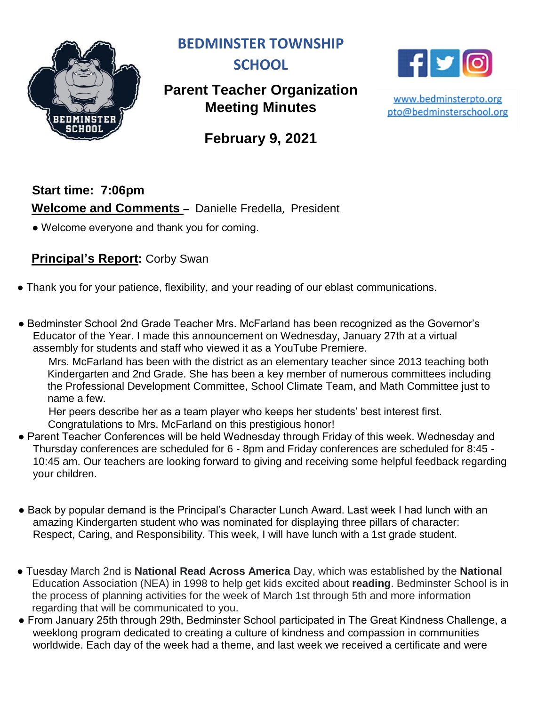

**BEDMINSTER TOWNSHIP** 



# **Parent Teacher Organization Meeting Minutes**



www.bedminsterpto.org pto@bedminsterschool.org

**February 9, 2021**

# **Start time: 7:06pm Welcome and Comments –** Danielle Fredella, President

• Welcome everyone and thank you for coming.

## **Principal's Report:** Corby Swan

- Thank you for your patience, flexibility, and your reading of our eblast communications.
- Bedminster School 2nd Grade Teacher Mrs. McFarland has been recognized as the Governor's Educator of the Year. I made this announcement on Wednesday, January 27th at a virtual assembly for students and staff who viewed it as a YouTube Premiere.

Mrs. McFarland has been with the district as an elementary teacher since 2013 teaching both Kindergarten and 2nd Grade. She has been a key member of numerous committees including the Professional Development Committee, School Climate Team, and Math Committee just to name a few.

Her peers describe her as a team player who keeps her students' best interest first. Congratulations to Mrs. McFarland on this prestigious honor!

- Parent Teacher Conferences will be held Wednesday through Friday of this week. Wednesday and Thursday conferences are scheduled for 6 - 8pm and Friday conferences are scheduled for 8:45 - 10:45 am. Our teachers are looking forward to giving and receiving some helpful feedback regarding your children.
- Back by popular demand is the Principal's Character Lunch Award. Last week I had lunch with an amazing Kindergarten student who was nominated for displaying three pillars of character: Respect, Caring, and Responsibility. This week, I will have lunch with a 1st grade student.
- Tuesday March 2nd is **National Read Across America** Day, which was established by the **National** Education Association (NEA) in 1998 to help get kids excited about **reading**. Bedminster School is in the process of planning activities for the week of March 1st through 5th and more information regarding that will be communicated to you.
- From January 25th through 29th, Bedminster School participated in The Great Kindness Challenge, a weeklong program dedicated to creating a culture of kindness and compassion in communities worldwide. Each day of the week had a theme, and last week we received a certificate and were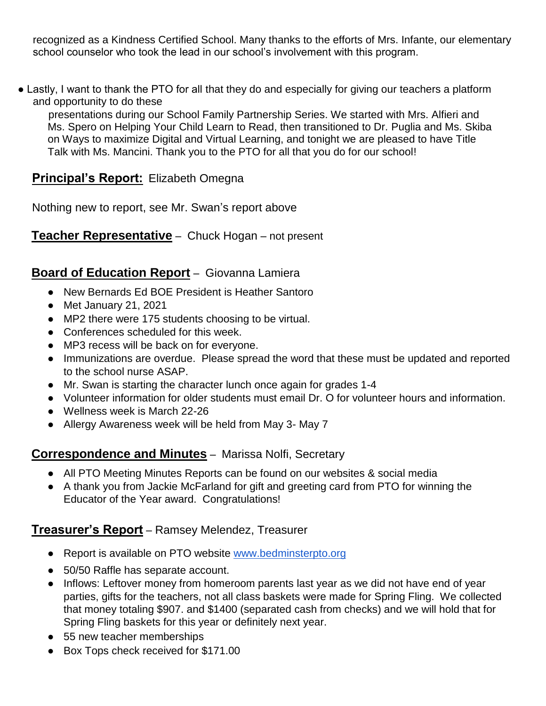recognized as a Kindness Certified School. Many thanks to the efforts of Mrs. Infante, our elementary school counselor who took the lead in our school's involvement with this program.

• Lastly, I want to thank the PTO for all that they do and especially for giving our teachers a platform and opportunity to do these

presentations during our School Family Partnership Series. We started with Mrs. Alfieri and Ms. Spero on Helping Your Child Learn to Read, then transitioned to Dr. Puglia and Ms. Skiba on Ways to maximize Digital and Virtual Learning, and tonight we are pleased to have Title Talk with Ms. Mancini. Thank you to the PTO for all that you do for our school!

### **Principal's Report:** Elizabeth Omegna

Nothing new to report, see Mr. Swan's report above

**Teacher Representative** – Chuck Hogan – not present

### **Board of Education Report** – Giovanna Lamiera

- New Bernards Ed BOE President is Heather Santoro
- Met January 21, 2021
- MP2 there were 175 students choosing to be virtual.
- Conferences scheduled for this week.
- MP3 recess will be back on for everyone.
- Immunizations are overdue. Please spread the word that these must be updated and reported to the school nurse ASAP.
- Mr. Swan is starting the character lunch once again for grades 1-4
- Volunteer information for older students must email Dr. O for volunteer hours and information.
- Wellness week is March 22-26
- Allergy Awareness week will be held from May 3- May 7

### **Correspondence and Minutes** – Marissa Nolfi, Secretary

- All PTO Meeting Minutes Reports can be found on our websites & social media
- A thank you from Jackie McFarland for gift and greeting card from PTO for winning the Educator of the Year award. Congratulations!

### **Treasurer's Report** – Ramsey Melendez, Treasurer

- Report is available on PTO website [www.bedminsterpto.org](http://www.bedminsterpto.org/)
- 50/50 Raffle has separate account.
- Inflows: Leftover money from homeroom parents last year as we did not have end of year parties, gifts for the teachers, not all class baskets were made for Spring Fling. We collected that money totaling \$907. and \$1400 (separated cash from checks) and we will hold that for Spring Fling baskets for this year or definitely next year.
- 55 new teacher memberships
- Box Tops check received for \$171.00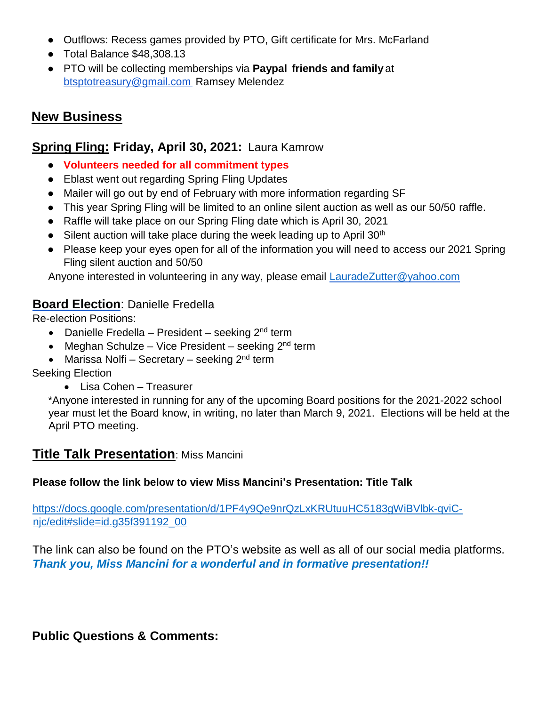- Outflows: Recess games provided by PTO, Gift certificate for Mrs. McFarland
- Total Balance \$48,308.13
- PTO will be collecting memberships via **Paypal friends and family** at btsptotreasury@gmail.com Ramsey Melendez

## **New Business**

### **Spring Fling: Friday, April 30, 2021:** Laura Kamrow

- **Volunteers needed for all commitment types**
- Eblast went out regarding Spring Fling Updates
- Mailer will go out by end of February with more information regarding SF
- This year Spring Fling will be limited to an online silent auction as well as our 50/50 raffle.
- Raffle will take place on our Spring Fling date which is April 30, 2021
- Silent auction will take place during the week leading up to April  $30<sup>th</sup>$
- Please keep your eyes open for all of the information you will need to access our 2021 Spring Fling silent auction and 50/50

Anyone interested in volunteering in any way, please email [LauradeZutter@yahoo.com](mailto:LauradeZutter@yahoo.com)

### **Board Election**: Danielle Fredella

Re-election Positions:

- Danielle Fredella President seeking  $2^{nd}$  term
- Meghan Schulze Vice President seeking 2<sup>nd</sup> term
- Marissa Nolfi Secretary seeking 2<sup>nd</sup> term

Seeking Election

Lisa Cohen – Treasurer

\*Anyone interested in running for any of the upcoming Board positions for the 2021-2022 school year must let the Board know, in writing, no later than March 9, 2021. Elections will be held at the April PTO meeting.

## **Title Talk Presentation**: Miss Mancini

### **Please follow the link below to view Miss Mancini's Presentation: Title Talk**

[https://docs.google.com/presentation/d/1PF4y9Qe9nrQzLxKRUtuuHC5183gWiBVlbk-qviC](https://docs.google.com/presentation/d/1PF4y9Qe9nrQzLxKRUtuuHC5183gWiBVlbk-qviC-njc/edit#slide=id.g35f391192_00)[njc/edit#slide=id.g35f391192\\_00](https://docs.google.com/presentation/d/1PF4y9Qe9nrQzLxKRUtuuHC5183gWiBVlbk-qviC-njc/edit#slide=id.g35f391192_00) 

The link can also be found on the PTO's website as well as all of our social media platforms. *Thank you, Miss Mancini for a wonderful and in formative presentation!!*

### **Public Questions & Comments:**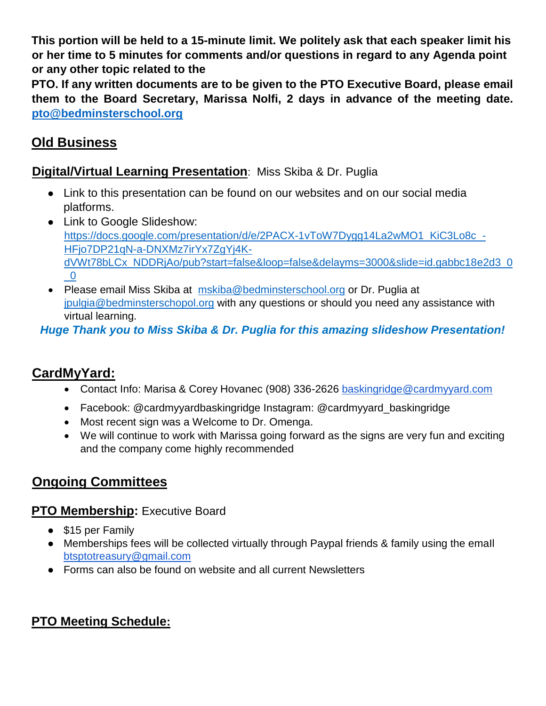**This portion will be held to a 15-minute limit. We politely ask that each speaker limit his or her time to 5 minutes for comments and/or questions in regard to any Agenda point or any other topic related to the**

**PTO. If any written documents are to be given to the PTO Executive Board, please email them to the Board Secretary, Marissa Nolfi, 2 days in advance of the meeting date. [pto@bedminsterschool.org](mailto:pto@bedminsterschool.org)**

# **Old Business**

## **Digital/Virtual Learning Presentation**: Miss Skiba & Dr. Puglia

- Link to this presentation can be found on our websites and on our social media platforms.
- Link to Google Slideshow: [https://docs.google.com/presentation/d/e/2PACX-1vToW7Dygg14La2wMO1\\_KiC3Lo8c\\_-](https://docs.google.com/presentation/d/e/2PACX-1vToW7Dygg14La2wMO1_KiC3Lo8c_-HFjo7DP21qN-a-DNXMz7irYx7ZgYj4K-dVWt78bLCx_NDDRjAo/pub?start=false&loop=false&delayms=3000&slide=id.gabbc18e2d3_0_0) [HFjo7DP21qN-a-DNXMz7irYx7ZgYj4K](https://docs.google.com/presentation/d/e/2PACX-1vToW7Dygg14La2wMO1_KiC3Lo8c_-HFjo7DP21qN-a-DNXMz7irYx7ZgYj4K-dVWt78bLCx_NDDRjAo/pub?start=false&loop=false&delayms=3000&slide=id.gabbc18e2d3_0_0)[dVWt78bLCx\\_NDDRjAo/pub?start=false&loop=false&delayms=3000&slide=id.gabbc18e2d3\\_0](https://docs.google.com/presentation/d/e/2PACX-1vToW7Dygg14La2wMO1_KiC3Lo8c_-HFjo7DP21qN-a-DNXMz7irYx7ZgYj4K-dVWt78bLCx_NDDRjAo/pub?start=false&loop=false&delayms=3000&slide=id.gabbc18e2d3_0_0)  $\overline{0}$
- Please email Miss Skiba at [mskiba@bedminsterschool.org](mailto:mskiba@bedminsterschool.org) or Dr. Puglia at [jpulgia@bedminsterschopol.org](mailto:jpulgia@bedminsterschopol.org) with any questions or should you need any assistance with virtual learning.

## *Huge Thank you to Miss Skiba & Dr. Puglia for this amazing slideshow Presentation!*

# **CardMyYard:**

- Contact Info: Marisa & Corey Hovanec (908) 336-2626 baskingridge@cardmyyard.com
- Facebook: @cardmyyardbaskingridge Instagram: @cardmyyard\_baskingridge
- Most recent sign was a Welcome to Dr. Omenga.
- We will continue to work with Marissa going forward as the signs are very fun and exciting and the company come highly recommended

# **Ongoing Committees**

## **PTO Membership:** Executive Board

- \$15 per Family
- Memberships fees will be collected virtually through Paypal friends & family using the emaIl btsptotreasury@gmail.com
- Forms can also be found on website and all current Newsletters

# **PTO Meeting Schedule:**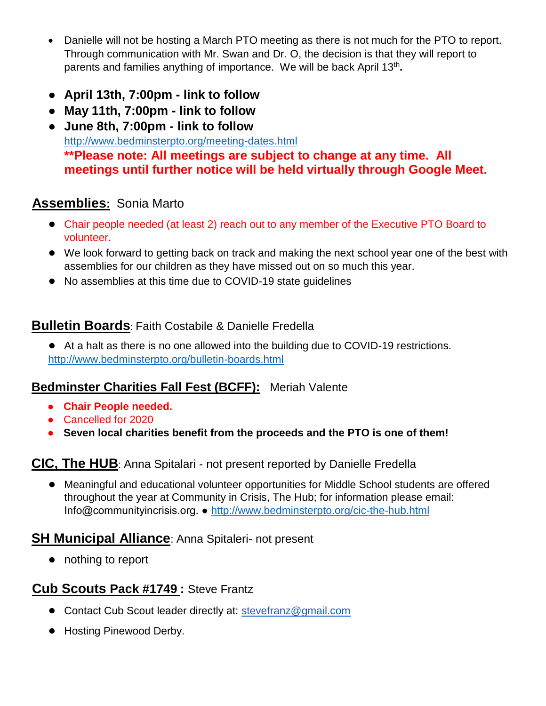- Danielle will not be hosting a March PTO meeting as there is not much for the PTO to report. Through communication with Mr. Swan and Dr. O, the decision is that they will report to parents and families anything of importance. We will be back April 13<sup>th</sup>.
- **● April 13th, 7:00pm - link to follow**
- **● May 11th, 7:00pm - link to follow**
- **● June 8th, 7:00pm - link to follow**  <http://www.bedminsterpto.org/meeting-dates.html> **\*\*Please note: All meetings are subject to change at any time. All meetings until further notice will be held virtually through Google Meet.**

## **Assemblies:** Sonia Marto

- **●** Chair people needed (at least 2) reach out to any member of the Executive PTO Board to volunteer.
- **●** We look forward to getting back on track and making the next school year one of the best with assemblies for our children as they have missed out on so much this year.
- **●** No assemblies at this time due to COVID-19 state guidelines

## **Bulletin Boards**: Faith Costabile & Danielle Fredella

**●** At a halt as there is no one allowed into the building due to COVID-19 restrictions. <http://www.bedminsterpto.org/bulletin-boards.html>

## **Bedminster Charities Fall Fest (BCFF):** Meriah Valente

- **Chair People needed.**
- Cancelled for 2020
- **Seven local charities benefit from the proceeds and the PTO is one of them!**

### **CIC, The HUB**: Anna Spitalari - not present reported by Danielle Fredella

**●** Meaningful and educational volunteer opportunities for Middle School students are offered throughout the year at Community in Crisis, The Hub; for information please email: Info@communityincrisis.org. ●<http://www.bedminsterpto.org/cic-the-hub.html>

## **SH Municipal Alliance**: Anna Spitaleri- not present

**●** nothing to report

## **Cub Scouts Pack #1749 :** Steve Frantz

- **●** Contact Cub Scout leader directly at: stevefranz@gmail.com
- **●** Hosting Pinewood Derby.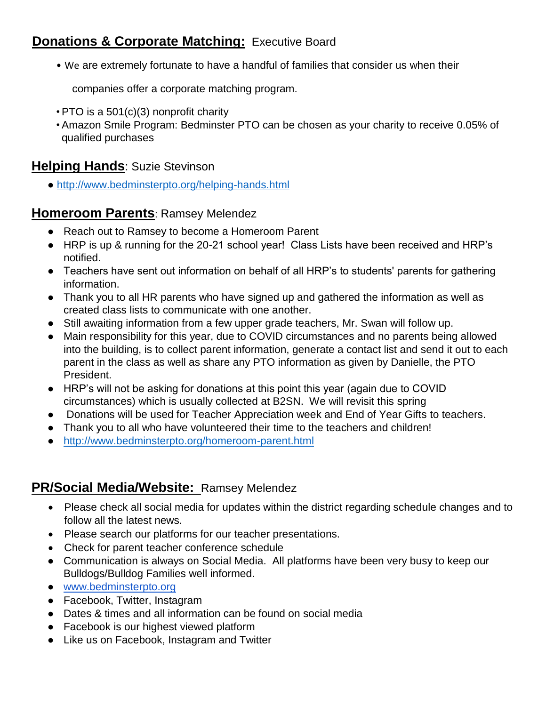# **Donations & Corporate Matching: Executive Board**

• We are extremely fortunate to have a handful of families that consider us when their

companies offer a corporate matching program.

- PTO is a 501(c)(3) nonprofit charity
- Amazon Smile Program: Bedminster PTO can be chosen as your charity to receive 0.05% of qualified purchases

## **Helping Hands**: Suzie Stevinson

●<http://www.bedminsterpto.org/helping-hands.html>

### **Homeroom Parents**: Ramsey Melendez

- Reach out to Ramsey to become a Homeroom Parent
- HRP is up & running for the 20-21 school year! Class Lists have been received and HRP's notified.
- Teachers have sent out information on behalf of all HRP's to students' parents for gathering information.
- Thank you to all HR parents who have signed up and gathered the information as well as created class lists to communicate with one another.
- Still awaiting information from a few upper grade teachers, Mr. Swan will follow up.
- Main responsibility for this year, due to COVID circumstances and no parents being allowed into the building, is to collect parent information, generate a contact list and send it out to each parent in the class as well as share any PTO information as given by Danielle, the PTO President.
- HRP's will not be asking for donations at this point this year (again due to COVID circumstances) which is usually collected at B2SN. We will revisit this spring
- Donations will be used for Teacher Appreciation week and End of Year Gifts to teachers.
- Thank you to all who have volunteered their time to the teachers and children!
- <http://www.bedminsterpto.org/homeroom-parent.html>

## **PR/Social Media/Website:** Ramsey Melendez

- Please check all social media for updates within the district regarding schedule changes and to follow all the latest news.
- Please search our platforms for our teacher presentations.
- Check for parent teacher conference schedule
- Communication is always on Social Media. All platforms have been very busy to keep our Bulldogs/Bulldog Families well informed.
- [www.bedminsterpto.org](http://www.bedminsterpto.org/)
- Facebook, Twitter, Instagram
- Dates & times and all information can be found on social media
- Facebook is our highest viewed platform
- Like us on Facebook, Instagram and Twitter